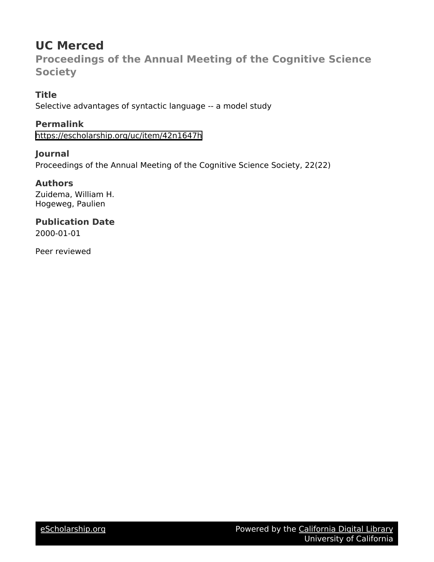# **UC Merced**

**Proceedings of the Annual Meeting of the Cognitive Science Society**

## **Title**

Selective advantages of syntactic language -- a model study

# **Permalink**

<https://escholarship.org/uc/item/42n1647h>

## **Journal**

Proceedings of the Annual Meeting of the Cognitive Science Society, 22(22)

# **Authors**

Zuidema, William H. Hogeweg, Paulien

# **Publication Date**

2000-01-01

Peer reviewed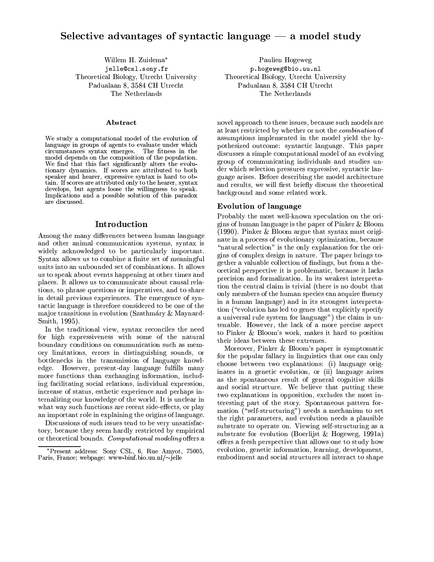### Selective advantages of syntactic language  $-$  a model study

Willem H. Zuidema\* jelle@csl.sony.fr Theoretical Biology, Utrecht University Padualaan 8, 3584 CH Utrecht The Netherlands

#### **Abstract**

We study a computational model of the evolution of language in groups of agents to evaluate under which circumstances syntax emerges. The fitness in the model depends on the composition of the population. We find that this fact significantly alters the evolutionary dynamics. If scores are attributed to both speaker and hearer, expressive syntax is hard to obtain. If scores are attributed only to the hearer, syntax develops, but agents loose the willingness to speak. Implications and a possible solution of this paradox are discussed.

#### Introduction

Among the many differences between human language and other animal communication systems, syntax is widely acknowledged to be particularly important. Syntax allows us to combine a finite set of meaningful units into an unbounded set of combinations. It allows us to speak about events happening at other times and places. It allows us to communicate about causal relations, to phrase questions or imperatives, and to share in detail previous experiences. The emergence of syntactic language is therefore considered to be one of the major transitions in evolution (Szathmáry & Maynard-Smith, 1995).

In the traditional view, syntax reconciles the need for high expressiveness with some of the natural boundary conditions on communication such as memory limitations, errors in distinguishing sounds, or bottlenecks in the transmission of language knowledge. However, present-day language fulfills many more functions than exchanging information, including facilitating social relations, individual expression, increase of status, esthetic experience and perhaps internalizing our knowledge of the world. It is unclear in what way such functions are recent side-effects, or play an important role in explaining the origins of language.

Discussions of such issues tend to be very unsatisfactory, because they seem hardly restricted by empirical or theoretical bounds. Computational modeling offers a

Paulien Hogeweg p.hogeweg@bio.uu.nl Theoretical Biology, Utrecht University Padualaan 8, 3584 CH Utrecht The Netherlands

novel approach to these issues, because such models are at least restricted by whether or not the *combination* of assumptions implemented in the model yield the hypothesized outcome: syntactic language. This paper discusses a simple computational model of an evolving group of communicating individuals and studies under which selection pressures expressive, syntactic language arises. Before describing the model architecture and results, we will first briefly discuss the theoretical background and some related work.

#### **Evolution of language**

Probably the most well-known speculation on the origins of human language is the paper of Pinker & Bloom  $(1990)$ . Pinker & Bloom argue that syntax must originate in a process of evolutionary optimization, because "natural selection" is the only explanation for the origins of complex design in nature. The paper brings together a valuable collection of findings, but from a theoretical perspective it is problematic, because it lacks precision and formalization. In its weakest interpretation the central claim is trivial (there is no doubt that only members of the human species can acquire fluency in a human language) and in its strongest interpretation ("evolution has led to genes that explicitly specify") a universal rule system for language") the claim is untenable. However, the lack of a more precise aspect to Pinker & Bloom's work, makes it hard to position their ideas between these extremes.

Moreover, Pinker & Bloom's paper is symptomatic for the popular fallacy in linguistics that one can only choose between two explanations: (i) language originates in a genetic evolution, or (ii) language arises as the spontaneous result of general cognitive skills and social structure. We believe that putting these two explanations in opposition, excludes the most interesting part of the story. Spontaneous pattern formation  $(*self-structure")$  needs a mechanism to set the right parameters, and evolution needs a plausible substrate to operate on. Viewing self-structuring as a substrate for evolution (Boerlijst & Hogeweg, 1991a) offers a fresh perspective that allows one to study how evolution, genetic information, learning, development, embodiment and social structures all interact to shape

<sup>\*</sup>Present address: Sony CSL, 6, Rue Amyot, 75005, Paris, France; webpage: www-binf.bio.uu.nl/~jelle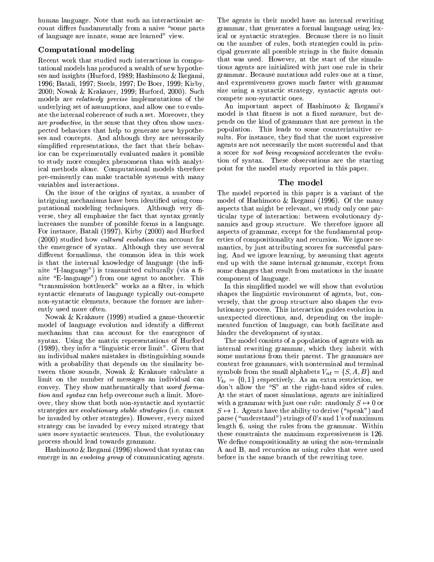human language. Note that such an interaction ist account differs fundamentally from a naive "some parts" of language are innate, some are learned" view.

### Computational modeling

Recent work that studied such interactions in computational models has produced a wealth of new hypotheses and insights (Hurford, 1989; Hashimoto & Ikegami, 1996; Batali, 1997; Steels, 1997; De Boer, 1999; Kirby, 2000; Nowak & Krakauer, 1999; Hurford, 2000). Such models are *relatively precise* implementations of the underlying set of assumptions, and allow one to evaluate the internal coherence of such a set. Moreover, they are *productive*, in the sense that they often show unexpected behaviors that help to generate new hypotheses and concepts. And although they are necessarily simplified representations, the fact that their behavior can be experimentally evaluated makes it possible to study more complex phenomena than with analytical methods alone. Computational models therefore pre-eminently can make tractable systems with many variables and interactions.

On the issue of the origins of syntax, a number of intriguing mechanisms have been identified using computational modeling techniques. Although very diverse, they all emphasize the fact that syntax greatly increases the number of possible forms in a language. For instance, Batali (1997), Kirby (2000) and Hurford (2000) studied how *cultural evolution* can account for the emergence of syntax. Although they use several different formalisms, the common idea in this work is that the internal knowledge of language (the infinite "I-language") is transmitted culturally (via a finite "E-language") from one agent to another. This "transmission bottleneck" works as a filter, in which syntactic elements of language typically out-compete non-syntactic elements, because the former are inherently used more often.

Nowak & Krakauer (1999) studied a game-theoretic model of language evolution and identify a different mechanism that can account for the emergence of syntax. Using the matrix representations of Hurford  $(1989)$ , they infer a "linguistic error limit". Given that an individual makes mistakes in distinguishing sounds with a probability that depends on the similarity between those sounds, Nowak & Krakauer calculate a limit on the number of messages an individual can convey. They show mathematically that *word formation* and *syntax* can help overcome such a limit. Moreover, they show that both non-syntactic and syntactic strategies are *evolutionary stable strategies* (i.e. cannot be invaded by other strategies). However, every mixed strategy can be invaded by every mixed strategy that uses *more* syntactic sentences. Thus, the evolutionary process should lead towards grammar.

Hashimoto  $\&$  Ikegami (1996) showed that syntax can emerge in an *evolving group* of communicating agents. The agents in their model have an internal rewriting grammar, that generates a formal language using lexical or syntactic strategies. Because there is no limit on the number of rules, both strategies could in principal generate all possible strings in the finite domain that was used. However, at the start of the simulations agents are initialized with just one rule in their grammar. Because mutations add rules one at a time, and expressiveness grows much faster with grammar size using a syntactic strategy, syntactic agents outcompete non-syntactic ones.

An important aspect of Hashimoto & Ikegami's model is that fitness is not a fixed measure, but depends on the kind of grammars that are present in the population. This leads to some counterintuitive results. For instance, they find that the most expressive agents are not necessarily the most successful and that a score for *not being recognized* accelerates the evolution of syntax. These observations are the starting point for the model study reported in this paper.

### The model

The model reported in this paper is a variant of the model of Hashimoto  $\&$  Ikegami (1996). Of the many aspects that might be relevant, we study only one particular type of interaction: between evolutionary dynamics and group structure. We therefore ignore all aspects of grammar, except for the fundamental properties of compositionality and recursion. We ignore semantics, by just attributing scores for successful parsing. And we ignore learning, by assuming that agents end up with the same internal grammar, except from some changes that result from mutations in the innate component of language.

In this simplified model we will show that evolution shapes the linguistic environment of agents, but, conversely, that the group structure also shapes the evolutionary process. This interaction guides evolution in unexpected directions, and, depending on the implemented function of language, can both facilitate and hinder the development of syntax.

The model consists of a population of agents with an internal rewriting grammar, which they inherit with some mutations from their parent. The grammars are context free grammars, with nonterminal and terminal symbols from the small alphabets  $V_{nt} = \{S, A, B\}$  and  $V_{te} = \{0, 1\}$  respectively. As an extra restriction, we don't allow the "S" at the right-hand sides of rules. At the start of most simulations, agents are initialized with a grammar with just one rule: randomly  $S \mapsto 0$  or  $S \mapsto 1$ . Agents have the ability to derive ("speak") and parse ("understand") strings of 0's and 1's of maximum length 6, using the rules from the grammar. Within these constraints the maximum expressiveness is 126. We define compositionality as using the non-terminals A and B, and recursion as using rules that were used before in the same branch of the rewriting tree.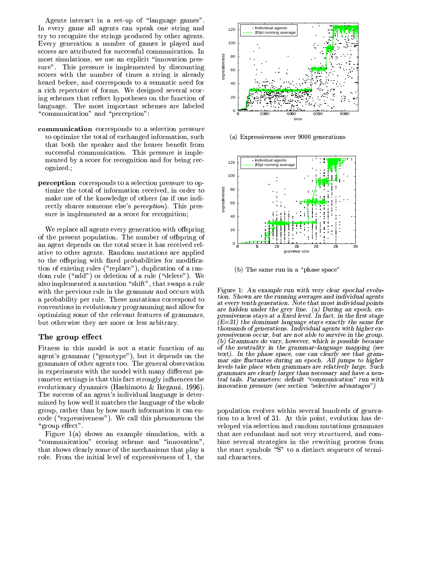Agents interact in a set-up of "language games". In every game all agents can speak one string and try to recognize the strings produced by other agents. Every generation a number of games is played and scores are attributed for successful communication. In most simulations, we use an explicit "innovation pressure". This pressure is implemented by discounting scores with the number of times a string is already heard before, and corresponds to a semantic need for a rich repertoire of forms. We designed several scoring schemes that reflect hypotheses on the function of language. The most important schemes are labeled "communication" and "perception":

- communication corresponds to a selection pressure to optimize the total of exchanged information, such that both the speaker and the hearer benefit from successful communication. This pressure is implemented by a score for recognition and for being recognized.;
- perception corresponds to a selection pressure to optimize the total of information received, in order to make use of the knowledge of others (as if one indirectly shares someone else's *perception*). This pressure is implemented as a score for recognition;

We replace all agents every generation with offspring of the present population. The number of offspring of an agent depends on the total score it has received relative to other agents. Random mutations are applied to the offspring with fixed probabilities for modification of existing rules ("replace"), duplication of a random rule ("add") or deletion of a rule ("delete"). We also implemented a mutation "shift", that swaps a rule with the previous rule in the grammar and occurs with a probability per rule. These mutations correspond to conventions in evolutionary programming and allow for optimizing some of the relevant features of grammars, but otherwise they are more or less arbitrary.

#### The group effect

Fitness in this model is not a static function of an agent's grammar ("genotype"), but it depends on the grammars of other agents too. The general observation in experiments with the model with many different parameter settings is that this fact strongly influences the evolutionary dynamics (Hashimoto & Ikegami, 1996). The success of an agent's individual language is determined by how well it matches the language of the whole group, rather than by how much information it can encode ("expressiveness"). We call this phenomenon the "group effect".

Figure  $1(a)$  shows an example simulation, with a "communication" scoring scheme and "innovation", that shows clearly some of the mechanisms that play a role. From the initial level of expressiveness of 1, the



(a) Expressiveness over 9000 generations



(b) The same run in a "phase space"

Figure 1: An example run with very clear epochal evolution. Shown are the running averages and individual agents at every tenth generation. Note that most individual points are hidden under the grey line. (a) During an epoch, expressiveness stays at a fixed level. In fact, in the first stage  $(E=31)$  the dominant language stays exactly the same for thousands of generations. Individual agents with higher expressiveness occur, but are not able to survive in the group. (b) Grammars do vary, however, which is possible because of the neutrality in the grammar-language mapping (see text). In the phase space, one can clearly see that grammar size fluctuates during an epoch. All jumps to higher levels take place when grammars are relatively large. Such grammars are clearly larger than necessary and have a neutral tails. Parameters: default "communication" run with innovation pressure (see section "selective advantages")

population evolves within several hundreds of generation to a level of 31. At this point, evolution has developed via selection and random mutations grammars that are redundant and not very structured, and combine several strategies in the rewriting process from the start symbols "S" to a distinct sequence of terminal characters.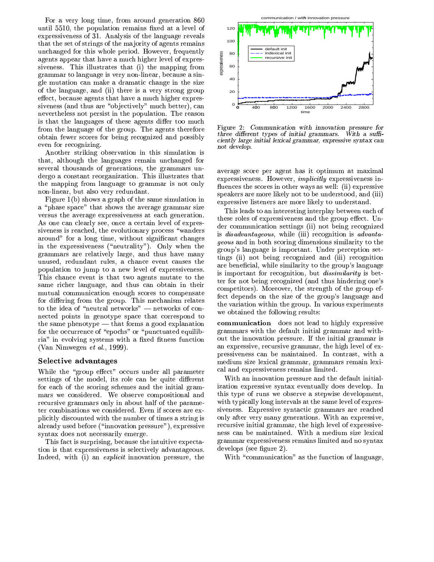For a very long time, from around generation 860 until 5510, the population remains fixed at a level of expressiveness of 31. Analysis of the language reveals that the set of strings of the majority of agents remains unchanged for this whole period. However, frequently agents appear that have a much higher level of expressiveness. This illustrates that (i) the mapping from grammar to language is very non-linear, because a single mutation can make a dramatic change in the size of the language, and (ii) there is a very strong group effect, because agents that have a much higher expressiveness (and thus are "objectively" much better), can nevertheless not persist in the population. The reason is that the languages of these agents differ too much from the language of the group. The agents therefore obtain fewer scores for being recognized and possibly even for recognizing.

Another striking observation in this simulation is that, although the languages remain unchanged for several thousands of generations, the grammars undergo a constant reorganization. This illustrates that the mapping from language to grammar is not only non-linear, but also very redundant.

Figure  $1(b)$  shows a graph of the same simulation in a "phase space" that shows the average grammar size versus the average expressiveness at each generation. As one can clearly see, once a certain level of expressiveness is reached, the evolutionary process "wanders around" for a long time, without significant changes in the expressiveness ("neutrality"). Only when the grammars are relatively large, and thus have many unused, redundant rules, a chance event causes the population to jump to a new level of expressiveness. This chance event is that two agents mutate to the same richer language, and thus can obtain in their mutual communication enough scores to compensate for differing from the group. This mechanism relates to the idea of "neutral networks" — networks of connected points in genotype space that correspond to the same phenotype  $-$  that forms a good explanation for the occurrence of "epochs" or "punctuated equilibria" in evolving systems with a fixed fitness function (Van Nimwegen et al., 1999).

#### Selective advantages

While the "group effect" occurs under all parameter settings of the model, its role can be quite different for each of the scoring schemes and the initial grammars we considered. We observe compositional and recursive grammars only in about half of the parameter combinations we considered. Even if scores are explicitly discounted with the number of times a string is already used before ("innovation pressure"), expressive syntax does not necessarily emerge.

This fact is surprising, because the intuitive expectation is that expressiveness is selectively advantageous. Indeed, with (i) an *explicit* innovation pressure, the



Figure 2: Communication with innovation pressure for three different types of initial grammars. With a sufficiently large initial lexical grammar, expressive syntax can not develop.

average score per agent has it optimum at maximal expressiveness. However, *implicitly* expressiveness influences the scores in other ways as well: (ii) expressive speakers are more likely not to be understood, and (iii) expressive listeners are more likely to understand.

This leads to an interesting interplay between each of these roles of expressiveness and the group effect. Under communication settings (ii) not being recognized is *disadvantageous*, while (iii) recognition is *advanta*geous and in both scoring dimensions similarity to the group's language is important. Under perception settings (ii) not being recognized and (iii) recognition are beneficial, while similarity to the group's language is important for recognition, but *dissimilarity* is better for not being recognized (and thus hindering one's competitors). Moreover, the strength of the group effect depends on the size of the group's language and the variation within the group. In various experiments we obtained the following results:

communication does not lead to highly expressive grammars with the default initial grammar and without the innovation pressure. If the initial grammar is an expressive, recursive grammar, the high level of expressiveness can be maintained. In contrast, with a medium size lexical grammar, grammars remain lexical and expressiveness remains limited.

With an innovation pressure and the default initialization expressive syntax eventually does develop. In this type of runs we observe a stepwise development, with typically long intervals at the same level of expressiveness. Expressive syntactic grammars are reached only after very many generations. With an expressive, recursive initial grammar, the high level of expressiveness can be maintained. With a medium size lexical grammar expressiveness remains limited and no syntax develops (see figure 2).

With "communication" as the function of language,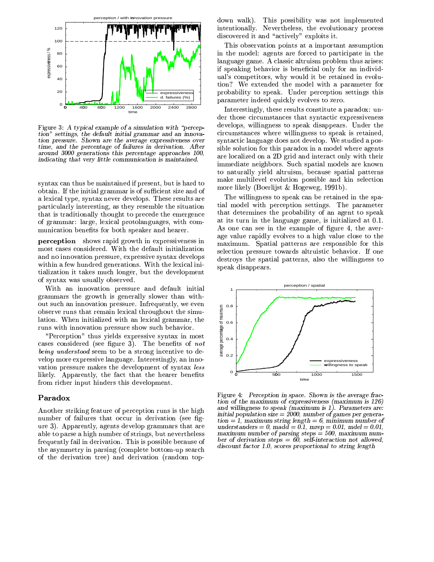

Figure 3: A typical example of a simulation with "perception" settings, the default initial grammar and an innovation pressure. Shown are the average expressiveness over time, and the percentage of failures in derivation. After around 3000 generations this percentage approaches 100, indicating that very little communication is maintained.

syntax can thus be maintained if present, but is hard to obtain. If the initial grammar is of sufficient size and of a lexical type, syntax never develops. These results are particularly interesting, as they resemble the situation that is traditionally thought to precede the emergence of grammar: large, lexical protolanguages, with communication benefits for both speaker and hearer.

perception shows rapid growth in expressiveness in most cases considered. With the default initialization and no innovation pressure, expressive syntax develops within a few hundred generations. With the lexical initialization it takes much longer, but the development of syntax was usually observed.

With an innovation pressure and default initial grammars the growth is generally slower than without such an innovation pressure. Infrequently, we even observe runs that remain lexical throughout the simulation. When initialized with an lexical grammar, the runs with innovation pressure show such behavior.

"Perception" thus yields expressive syntax in most cases considered (see figure 3). The benefits of *not being understood* seem to be a strong incentive to develop more expressive language. Interestingly, an innovation pressure makes the development of syntax less likely. Apparently, the fact that the hearer benefits from richer input hinders this development.

#### Paradox

Another striking feature of perception runs is the high number of failures that occur in derivation (see figure 3). Apparently, agents develop grammars that are able to parse a high number of strings, but nevertheless frequently fail in derivation. This is possible because of the asymmetry in parsing (complete bottom-up search of the derivation tree) and derivation (random topdown walk). This possibility was not implemented intentionally. Nevertheless, the evolutionary process discovered it and "actively" exploits it.

This observation points at a important assumption in the model: agents are forced to participate in the language game. A classic altruism problem thus arises: if speaking behavior is beneficial only for an individual's competitors, why would it be retained in evolution? We extended the model with a parameter for probability to speak. Under perception settings this parameter indeed quickly evolves to zero.

Interestingly, these results constitute a paradox: under those circumstances that syntactic expressiveness develops, willingness to speak disappears. Under the circumstances where willingness to speak is retained, syntactic language does not develop. We studied a possible solution for this paradox in a model where agents are localized on a 2D grid and interact only with their immediate neighbors. Such spatial models are known to naturally yield altruism, because spatial patterns make multilevel evolution possible and kin selection more likely (Boerlijst & Hogeweg, 1991b).

The willingness to speak can be retained in the spatial model with perception settings. The parameter that determines the probability of an agent to speak at its turn in the language game, is initialized at 0.1. As one can see in the example of figure 4, the average value rapidly evolves to a high value close to the maximum. Spatial patterns are responsible for this selection pressure towards altruistic behavior. If one destroys the spatial patterns, also the willingness to speak disappears.



Figure 4: Perception in space. Shown is the average fraction of the maximum of expressiveness (maximum is 126) and willingness to speak (maximum is 1). Parameters are: initial population size =  $2000$ , number of games per genera- $\text{tion} = 1$ , maximum string length = 6, minimum number of understanders = 0, madd =  $0.1$ , mrep = 0.01, mdel = 0.01, maximum number of parsing steps  $=$  500, maximum number of derivation steps =  $60$ , self-interaction not allowed, discount factor 1.0, scores proportional to string length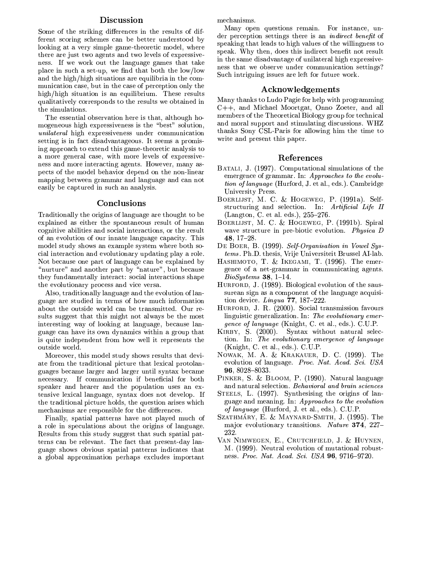### Discussion

Some of the striking differences in the results of different scoring schemes can be better understood by looking at a very simple game-theoretic model, where there are just two agents and two levels of expressiveness. If we work out the language games that take place in such a set-up, we find that both the low/low and the high/high situations are equilibria in the communication case, but in the case of perception only the high/high situation is an equilibrium. These results qualitatively corresponds to the results we obtained in the simulations.

The essential observation here is that, although homogeneous high expressiveness is the "best" solution, *unilateral* high expressiveness under communication setting is in fact disadvantageous. It seems a promising approach to extend this game-theoretic analysis to a more general case, with more levels of expressiveness and more interacting agents. However, many aspects of the model behavior depend on the non-linear mapping between grammar and language and can not easily be captured in such an analysis.

#### Conclusions

Traditionally the origins of language are thought to be explained as either the spontaneous result of human cognitive abilities and social interactions, or the result of an evolution of our innate language capacity. This model study shows an example system where both social interaction and evolutionary updating play a role. Not because one part of language can be explained by "nurture" and another part by "nature", but because they fundamentally interact: social interactions shape the evolutionary process and vice versa.

Also, traditionally language and the evolution of language are studied in terms of how much information about the outside world can be transmitted. Our results suggest that this might not always be the most interesting way of looking at language, because language can have its own dynamics within a group that is quite independent from how well it represents the outside world.

Moreover, this model study shows results that deviate from the traditional picture that lexical protolanguages became larger and larger until syntax became necessary. If communication if beneficial for both speaker and hearer and the population uses an extensive lexical language, syntax does not develop. If the traditional picture holds, the question arises which mechanisms are responsible for the differences.

Finally, spatial patterns have not played much of a role in speculations about the origins of language. Results from this study suggest that such spatial patterns can be relevant. The fact that present-day language shows obvious spatial patterns indicates that a global approximation perhaps excludes important

mechanisms.

Many open questions remain. For instance, under perception settings there is an *indirect benefit* of speaking that leads to high values of the willingness to speak. Why then, does this indirect benefit not result in the same disadvantage of unilateral high expressiveness that we observe under communication settings? Such intriguing issues are left for future work.

#### Acknowledgements

Many thanks to Ludo Pagie for help with programming  $C_{++}$ , and Michael Moortgat, Onno Zoeter, and all members of the Theoretical Biology group for technical and moral support and stimulating discussions. WHZ thanks Sony CSL-Paris for allowing him the time to write and present this paper.

### References

- BATALI, J. (1997). Computational simulations of the emergence of grammar. In: Approaches to the evolution of language (Hurford, J. et al., eds.). Cambridge University Press.
- BOERLIJST, M. C. & HOGEWEG, P. (1991a). Selfstructuring and selection. In: Artificial Life II (Langton, C. et al. eds.), 255-276.
- BOERLIJST, M. C. & HOGEWEG, P. (1991b). Spiral wave structure in pre-biotic evolution. Physica D 48, 17-28.
- DE BOER, B. (1999). Self-Organisation in Vowel Systems. Ph.D. thesis, Vrije Universiteit Brussel AI-lab.
- HASHIMOTO, T. & IKEGAMI, T. (1996). The emergence of a net-grammar in communicating agents.  $BioSystems$  38, 1-14.
- HURFORD, J. (1989). Biological evolution of the saussurean sign as a component of the language acquisition device. Lingua  $77$ , 187-222.
- HURFORD, J. R. (2000). Social transmission favours linguistic generalization. In: The evolutionary emer*gence of language* (Knight, C. et al., eds.). C.U.P.
- KIRBY, S. (2000). Syntax without natural selection. In: The evolutionary emergence of language (Knight, C. et al., eds.). C.U.P.
- NOWAK, M. A. & KRAKAUER, D. C. (1999). The evolution of language. Proc. Nat. Acad. Sci. USA 96, 8028-8033.
- PINKER, S. & BLOOM, P. (1990). Natural language and natural selection. Behavioral and brain sciences
- STEELS, L. (1997). Synthesising the origins of language and meaning. In: Approaches to the evolution of language (Hurford, J. et al., eds.). C.U.P.
- SZATHMÁRY, E. & MAYNARD-SMITH, J. (1995). The major evolutionary transitions. Nature 374, 227-232.
- VAN NIMWEGEN, E., CRUTCHFIELD, J. & HUYNEN, M. (1999). Neutral evolution of mutational robustness. Proc. Nat. Acad. Sci. USA 96, 9716-9720.